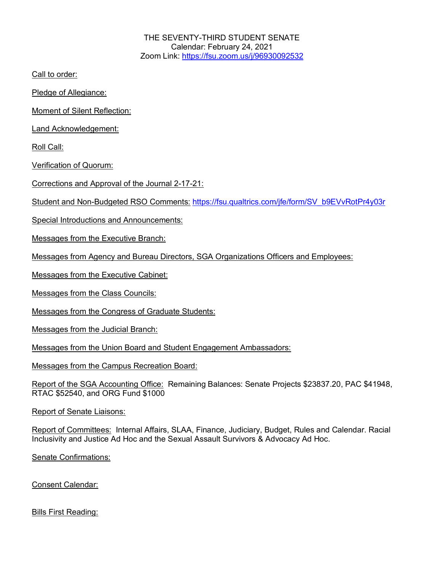THE SEVENTY-THIRD STUDENT SENATE Calendar: February 24, 2021 Zoom Link: https://fsu.zoom.us/j/96930092532

Call to order:

Pledge of Allegiance:

Moment of Silent Reflection:

Land Acknowledgement:

Roll Call:

Verification of Quorum:

Corrections and Approval of the Journal 2-17-21:

Student and Non-Budgeted RSO Comments: https://fsu.qualtrics.com/jfe/form/SV\_b9EVvRotPr4y03r

Special Introductions and Announcements:

Messages from the Executive Branch:

Messages from Agency and Bureau Directors, SGA Organizations Officers and Employees:

Messages from the Executive Cabinet:

Messages from the Class Councils:

Messages from the Congress of Graduate Students:

Messages from the Judicial Branch:

Messages from the Union Board and Student Engagement Ambassadors:

Messages from the Campus Recreation Board:

Report of the SGA Accounting Office: Remaining Balances: Senate Projects \$23837.20, PAC \$41948, RTAC \$52540, and ORG Fund \$1000

Report of Senate Liaisons:

Report of Committees: Internal Affairs, SLAA, Finance, Judiciary, Budget, Rules and Calendar. Racial Inclusivity and Justice Ad Hoc and the Sexual Assault Survivors & Advocacy Ad Hoc.

Senate Confirmations:

Consent Calendar:

Bills First Reading: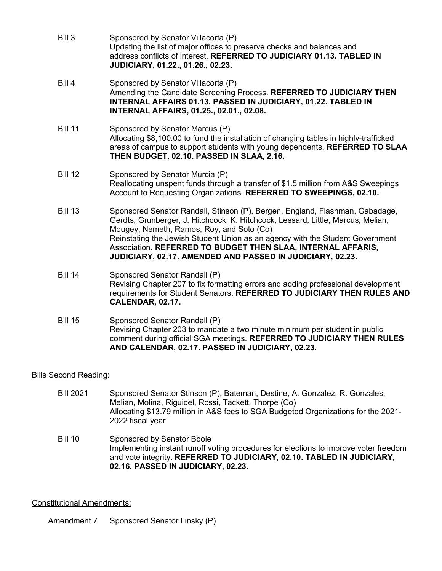- Bill 3 Sponsored by Senator Villacorta (P) Updating the list of major offices to preserve checks and balances and address conflicts of interest. **REFERRED TO JUDICIARY 01.13. TABLED IN JUDICIARY, 01.22., 01.26., 02.23.**
- Bill 4 Sponsored by Senator Villacorta (P) Amending the Candidate Screening Process. **REFERRED TO JUDICIARY THEN INTERNAL AFFAIRS 01.13. PASSED IN JUDICIARY, 01.22. TABLED IN INTERNAL AFFAIRS, 01.25., 02.01., 02.08.**
- Bill 11 Sponsored by Senator Marcus (P) Allocating \$8,100.00 to fund the installation of changing tables in highly-trafficked areas of campus to support students with young dependents. **REFERRED TO SLAA THEN BUDGET, 02.10. PASSED IN SLAA, 2.16.**
- Bill 12 Sponsored by Senator Murcia (P) Reallocating unspent funds through a transfer of \$1.5 million from A&S Sweepings Account to Requesting Organizations. **REFERRED TO SWEEPINGS, 02.10.**
- Bill 13 Sponsored Senator Randall, Stinson (P), Bergen, England, Flashman, Gabadage, Gerdts, Grunberger, J. Hitchcock, K. Hitchcock, Lessard, Little, Marcus, Melian, Mougey, Nemeth, Ramos, Roy, and Soto (Co) Reinstating the Jewish Student Union as an agency with the Student Government Association. **REFERRED TO BUDGET THEN SLAA, INTERNAL AFFARIS, JUDICIARY, 02.17. AMENDED AND PASSED IN JUDICIARY, 02.23.**
- Bill 14 Sponsored Senator Randall (P) Revising Chapter 207 to fix formatting errors and adding professional development requirements for Student Senators. **REFERRED TO JUDICIARY THEN RULES AND CALENDAR, 02.17.**
- Bill 15 Sponsored Senator Randall (P) Revising Chapter 203 to mandate a two minute minimum per student in public comment during official SGA meetings. **REFERRED TO JUDICIARY THEN RULES AND CALENDAR, 02.17. PASSED IN JUDICIARY, 02.23.**

## Bills Second Reading:

- Bill 2021 Sponsored Senator Stinson (P), Bateman, Destine, A. Gonzalez, R. Gonzales, Melian, Molina, Riguidel, Rossi, Tackett, Thorpe (Co) Allocating \$13.79 million in A&S fees to SGA Budgeted Organizations for the 2021- 2022 fiscal year
- Bill 10 Sponsored by Senator Boole Implementing instant runoff voting procedures for elections to improve voter freedom and vote integrity. **REFERRED TO JUDICIARY, 02.10. TABLED IN JUDICIARY, 02.16. PASSED IN JUDICIARY, 02.23.**

## Constitutional Amendments:

Amendment 7 Sponsored Senator Linsky (P)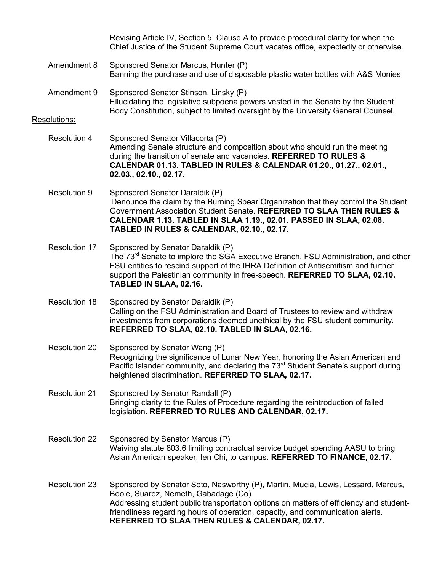|                      | Revising Article IV, Section 5, Clause A to provide procedural clarity for when the<br>Chief Justice of the Student Supreme Court vacates office, expectedly or otherwise.                                                                                                                                                                             |
|----------------------|--------------------------------------------------------------------------------------------------------------------------------------------------------------------------------------------------------------------------------------------------------------------------------------------------------------------------------------------------------|
| Amendment 8          | Sponsored Senator Marcus, Hunter (P)<br>Banning the purchase and use of disposable plastic water bottles with A&S Monies                                                                                                                                                                                                                               |
| Amendment 9          | Sponsored Senator Stinson, Linsky (P)<br>Ellucidating the legislative subpoena powers vested in the Senate by the Student<br>Body Constitution, subject to limited oversight by the University General Counsel.                                                                                                                                        |
| Resolutions:         |                                                                                                                                                                                                                                                                                                                                                        |
| <b>Resolution 4</b>  | Sponsored Senator Villacorta (P)<br>Amending Senate structure and composition about who should run the meeting<br>during the transition of senate and vacancies. REFERRED TO RULES &<br>CALENDAR 01.13. TABLED IN RULES & CALENDAR 01.20., 01.27., 02.01.,<br>02.03., 02.10., 02.17.                                                                   |
| <b>Resolution 9</b>  | Sponsored Senator Daraldik (P)<br>Denounce the claim by the Burning Spear Organization that they control the Student<br>Government Association Student Senate. REFERRED TO SLAA THEN RULES &<br>CALENDAR 1.13. TABLED IN SLAA 1.19., 02.01. PASSED IN SLAA, 02.08.<br>TABLED IN RULES & CALENDAR, 02.10., 02.17.                                       |
| <b>Resolution 17</b> | Sponsored by Senator Daraldik (P)<br>The 73 <sup>rd</sup> Senate to implore the SGA Executive Branch, FSU Administration, and other<br>FSU entities to rescind support of the IHRA Definition of Antisemitism and further<br>support the Palestinian community in free-speech. REFERRED TO SLAA, 02.10.<br>TABLED IN SLAA, 02.16.                      |
| <b>Resolution 18</b> | Sponsored by Senator Daraldik (P)<br>Calling on the FSU Administration and Board of Trustees to review and withdraw<br>investments from corporations deemed unethical by the FSU student community.<br>REFERRED TO SLAA, 02.10. TABLED IN SLAA, 02.16.                                                                                                 |
| <b>Resolution 20</b> | Sponsored by Senator Wang (P)<br>Recognizing the significance of Lunar New Year, honoring the Asian American and<br>Pacific Islander community, and declaring the 73 <sup>rd</sup> Student Senate's support during<br>heightened discrimination. REFERRED TO SLAA, 02.17.                                                                              |
| <b>Resolution 21</b> | Sponsored by Senator Randall (P)<br>Bringing clarity to the Rules of Procedure regarding the reintroduction of failed<br>legislation. REFERRED TO RULES AND CALENDAR, 02.17.                                                                                                                                                                           |
| <b>Resolution 22</b> | Sponsored by Senator Marcus (P)<br>Waiving statute 803.6 limiting contractual service budget spending AASU to bring<br>Asian American speaker, len Chi, to campus. REFERRED TO FINANCE, 02.17.                                                                                                                                                         |
| <b>Resolution 23</b> | Sponsored by Senator Soto, Nasworthy (P), Martin, Mucia, Lewis, Lessard, Marcus,<br>Boole, Suarez, Nemeth, Gabadage (Co)<br>Addressing student public transportation options on matters of efficiency and student-<br>friendliness regarding hours of operation, capacity, and communication alerts.<br>REFERRED TO SLAA THEN RULES & CALENDAR, 02.17. |